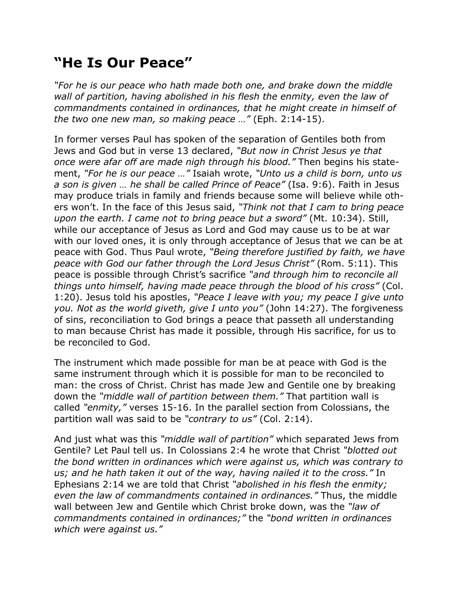## **"He Is Our Peace"**

*"For he is our peace who hath made both one, and brake down the middle wall of partition, having abolished in his flesh the enmity, even the law of commandments contained in ordinances, that he might create in himself of the two one new man, so making peace …"* (Eph. 2:14-15).

In former verses Paul has spoken of the separation of Gentiles both from Jews and God but in verse 13 declared, *"But now in Christ Jesus ye that once were afar off are made nigh through his blood."* Then begins his statement, *"For he is our peace …"* Isaiah wrote, *"Unto us a child is born, unto us a son is given … he shall be called Prince of Peace"* (Isa. 9:6). Faith in Jesus may produce trials in family and friends because some will believe while others won't. In the face of this Jesus said, *"Think not that I cam to bring peace upon the earth. I came not to bring peace but a sword"* (Mt. 10:34). Still, while our acceptance of Jesus as Lord and God may cause us to be at war with our loved ones, it is only through acceptance of Jesus that we can be at peace with God. Thus Paul wrote, *"Being therefore justified by faith, we have peace with God our father through the Lord Jesus Christ"* (Rom. 5:11). This peace is possible through Christ's sacrifice *"and through him to reconcile all things unto himself, having made peace through the blood of his cross"* (Col. 1:20). Jesus told his apostles, *"Peace I leave with you; my peace I give unto you. Not as the world giveth, give I unto you"* (John 14:27). The forgiveness of sins, reconciliation to God brings a peace that passeth all understanding to man because Christ has made it possible, through His sacrifice, for us to be reconciled to God.

The instrument which made possible for man be at peace with God is the same instrument through which it is possible for man to be reconciled to man: the cross of Christ. Christ has made Jew and Gentile one by breaking down the *"middle wall of partition between them."* That partition wall is called *"enmity,"* verses 15-16. In the parallel section from Colossians, the partition wall was said to be *"contrary to us"* (Col. 2:14).

And just what was this *"middle wall of partition"* which separated Jews from Gentile? Let Paul tell us. In Colossians 2:4 he wrote that Christ *"blotted out the bond written in ordinances which were against us, which was contrary to us; and he hath taken it out of the way, having nailed it to the cross."* In Ephesians 2:14 we are told that Christ *"abolished in his flesh the enmity; even the law of commandments contained in ordinances."* Thus, the middle wall between Jew and Gentile which Christ broke down, was the *"law of commandments contained in ordinances;"* the *"bond written in ordinances which were against us."*